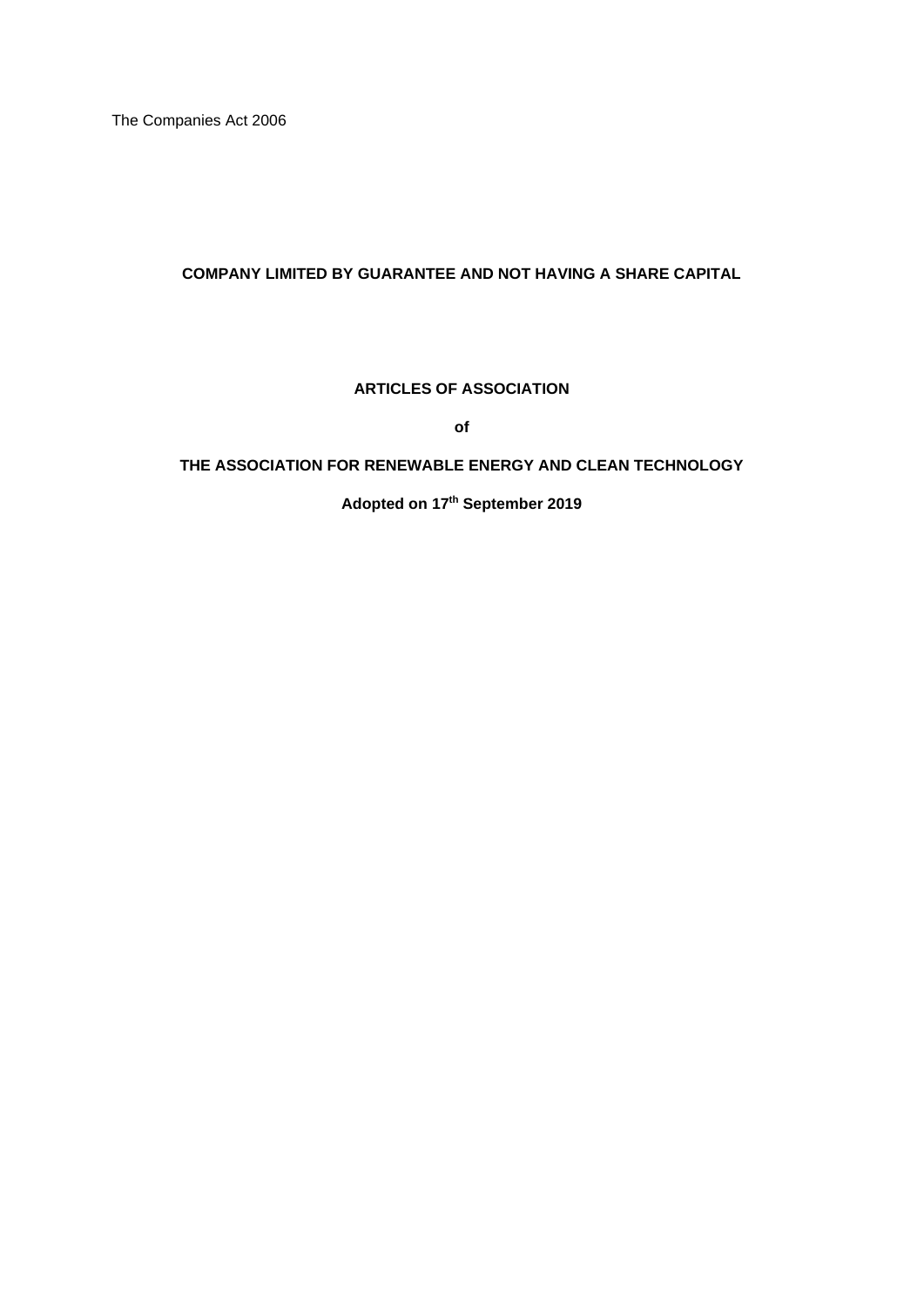The Companies Act 2006

## **COMPANY LIMITED BY GUARANTEE AND NOT HAVING A SHARE CAPITAL**

## **ARTICLES OF ASSOCIATION**

**of**

## **THE ASSOCIATION FOR RENEWABLE ENERGY AND CLEAN TECHNOLOGY**

**Adopted on 17th September 2019**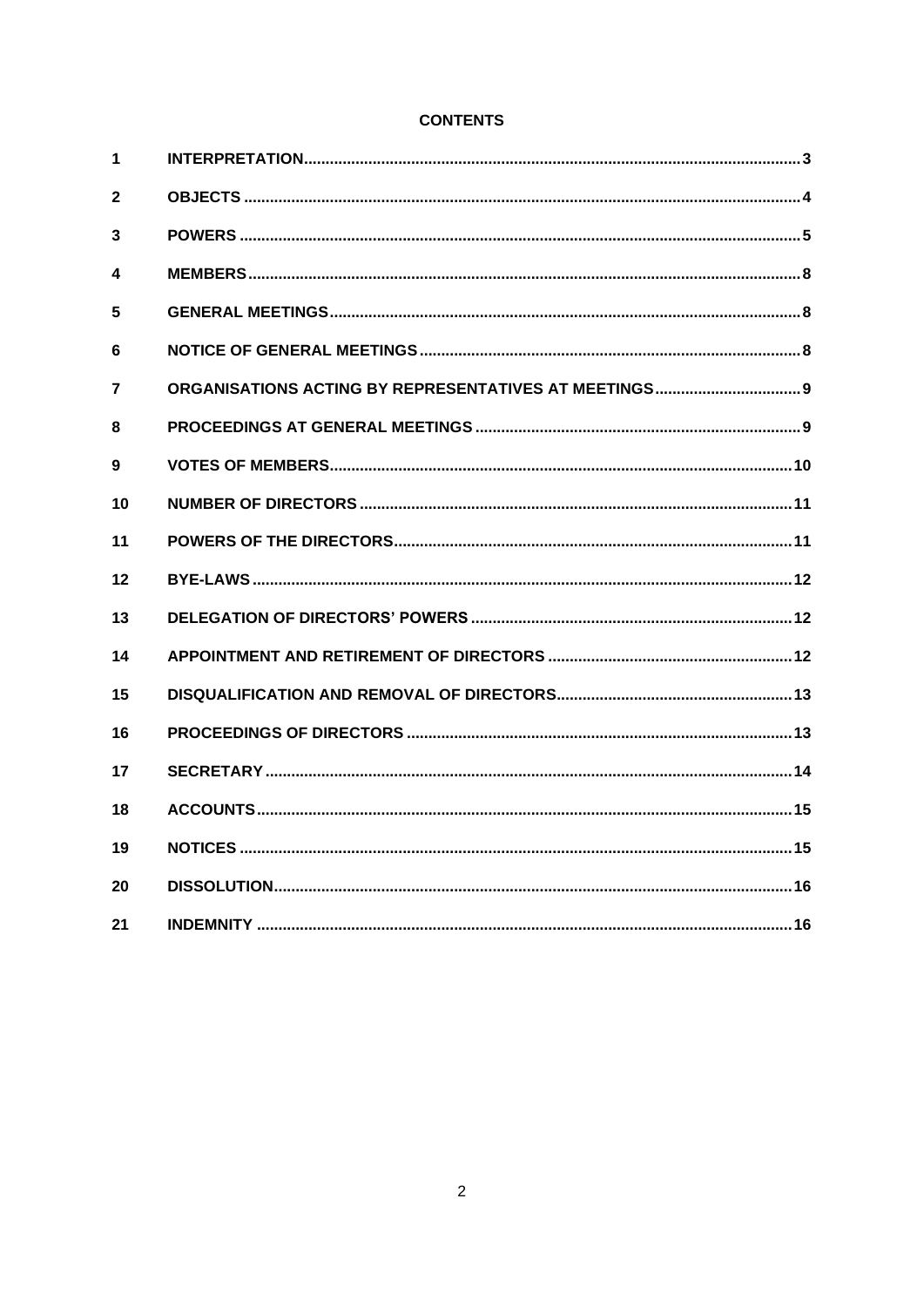# **CONTENTS**

| 1            |  |
|--------------|--|
| $\mathbf{2}$ |  |
| 3            |  |
| 4            |  |
| 5            |  |
| 6            |  |
| 7            |  |
| 8            |  |
| 9            |  |
| 10           |  |
| 11           |  |
| 12           |  |
| 13           |  |
| 14           |  |
| 15           |  |
| 16           |  |
| 17           |  |
| 18           |  |
| 19           |  |
| 20           |  |
| 21           |  |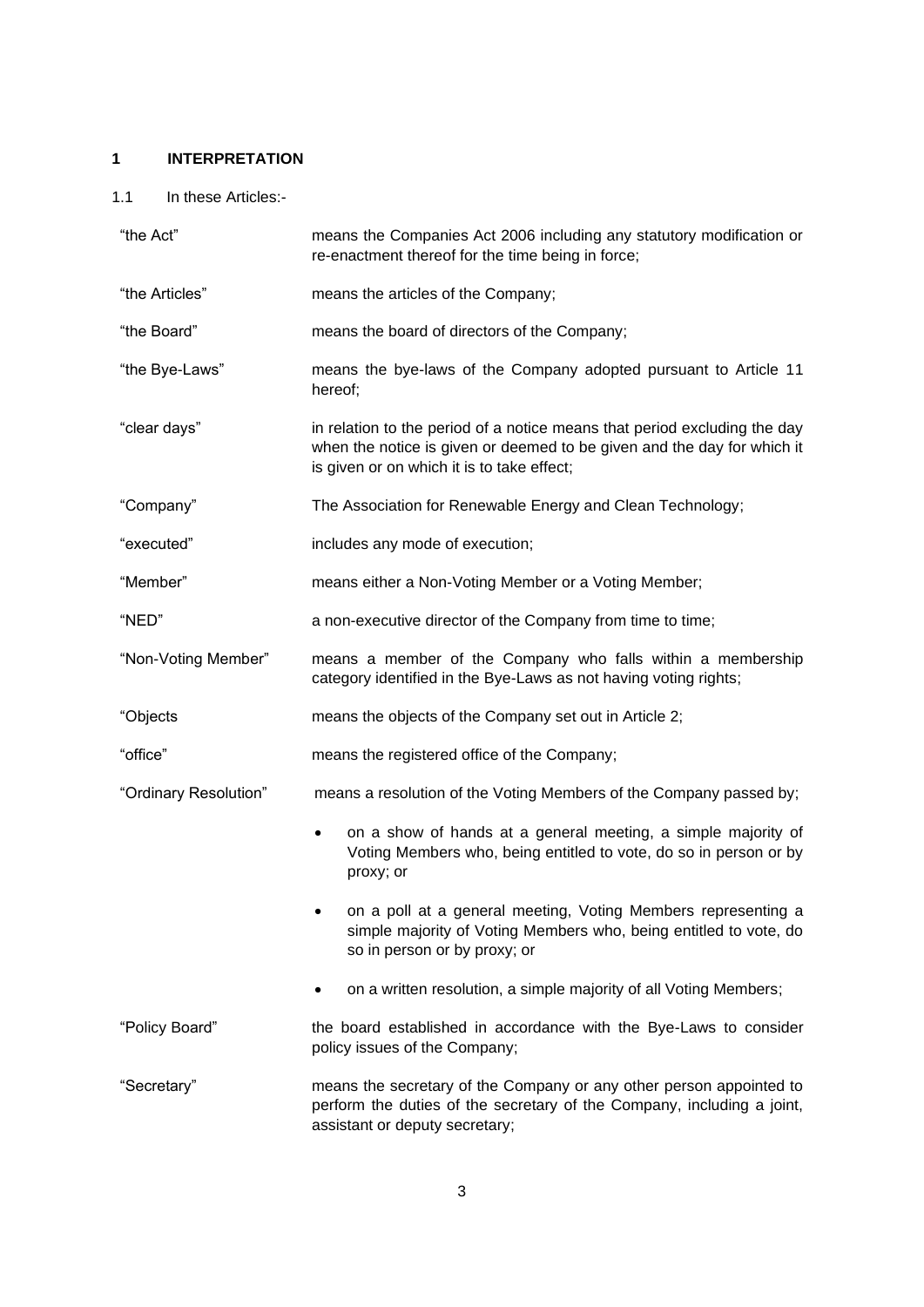# <span id="page-2-0"></span>**1 INTERPRETATION**

# 1.1 In these Articles:-

| "the Act"             | means the Companies Act 2006 including any statutory modification or<br>re-enactment thereof for the time being in force;                                                                          |
|-----------------------|----------------------------------------------------------------------------------------------------------------------------------------------------------------------------------------------------|
| "the Articles"        | means the articles of the Company;                                                                                                                                                                 |
| "the Board"           | means the board of directors of the Company;                                                                                                                                                       |
| "the Bye-Laws"        | means the bye-laws of the Company adopted pursuant to Article 11<br>hereof;                                                                                                                        |
| "clear days"          | in relation to the period of a notice means that period excluding the day<br>when the notice is given or deemed to be given and the day for which it<br>is given or on which it is to take effect; |
| "Company"             | The Association for Renewable Energy and Clean Technology;                                                                                                                                         |
| "executed"            | includes any mode of execution;                                                                                                                                                                    |
| "Member"              | means either a Non-Voting Member or a Voting Member;                                                                                                                                               |
| "NED"                 | a non-executive director of the Company from time to time;                                                                                                                                         |
| "Non-Voting Member"   | means a member of the Company who falls within a membership<br>category identified in the Bye-Laws as not having voting rights;                                                                    |
| "Objects              | means the objects of the Company set out in Article 2;                                                                                                                                             |
| "office"              | means the registered office of the Company;                                                                                                                                                        |
| "Ordinary Resolution" | means a resolution of the Voting Members of the Company passed by;                                                                                                                                 |
|                       | on a show of hands at a general meeting, a simple majority of<br>$\bullet$<br>Voting Members who, being entitled to vote, do so in person or by<br>proxy; or                                       |
|                       | on a poll at a general meeting, Voting Members representing a<br>simple majority of Voting Members who, being entitled to vote, do<br>so in person or by proxy; or                                 |
|                       | on a written resolution, a simple majority of all Voting Members;                                                                                                                                  |
| "Policy Board"        | the board established in accordance with the Bye-Laws to consider<br>policy issues of the Company;                                                                                                 |
| "Secretary"           | means the secretary of the Company or any other person appointed to<br>perform the duties of the secretary of the Company, including a joint,<br>assistant or deputy secretary;                    |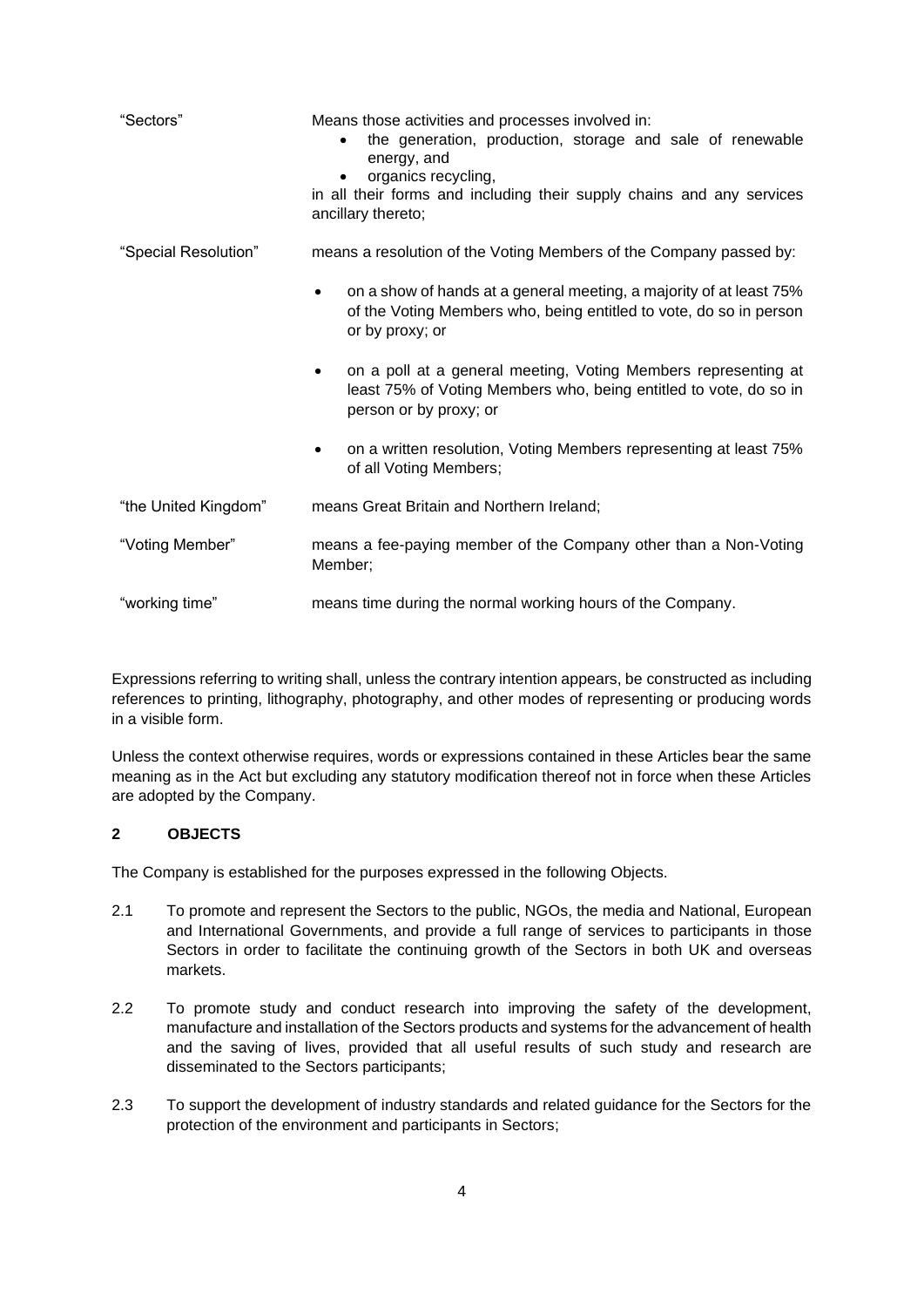| "Sectors"            | Means those activities and processes involved in:<br>the generation, production, storage and sale of renewable<br>$\bullet$<br>energy, and<br>organics recycling,<br>in all their forms and including their supply chains and any services<br>ancillary thereto; |
|----------------------|------------------------------------------------------------------------------------------------------------------------------------------------------------------------------------------------------------------------------------------------------------------|
| "Special Resolution" | means a resolution of the Voting Members of the Company passed by:                                                                                                                                                                                               |
|                      | on a show of hands at a general meeting, a majority of at least 75%<br>$\bullet$<br>of the Voting Members who, being entitled to vote, do so in person<br>or by proxy; or                                                                                        |
|                      | on a poll at a general meeting, Voting Members representing at<br>least 75% of Voting Members who, being entitled to vote, do so in<br>person or by proxy; or                                                                                                    |
|                      | on a written resolution, Voting Members representing at least 75%<br>$\bullet$<br>of all Voting Members;                                                                                                                                                         |
| "the United Kingdom" | means Great Britain and Northern Ireland;                                                                                                                                                                                                                        |
| "Voting Member"      | means a fee-paying member of the Company other than a Non-Voting<br>Member;                                                                                                                                                                                      |
| "working time"       | means time during the normal working hours of the Company.                                                                                                                                                                                                       |

Expressions referring to writing shall, unless the contrary intention appears, be constructed as including references to printing, lithography, photography, and other modes of representing or producing words in a visible form.

Unless the context otherwise requires, words or expressions contained in these Articles bear the same meaning as in the Act but excluding any statutory modification thereof not in force when these Articles are adopted by the Company.

## <span id="page-3-0"></span>**2 OBJECTS**

The Company is established for the purposes expressed in the following Objects.

- 2.1 To promote and represent the Sectors to the public, NGOs, the media and National, European and International Governments, and provide a full range of services to participants in those Sectors in order to facilitate the continuing growth of the Sectors in both UK and overseas markets.
- 2.2 To promote study and conduct research into improving the safety of the development, manufacture and installation of the Sectors products and systems for the advancement of health and the saving of lives, provided that all useful results of such study and research are disseminated to the Sectors participants;
- 2.3 To support the development of industry standards and related guidance for the Sectors for the protection of the environment and participants in Sectors;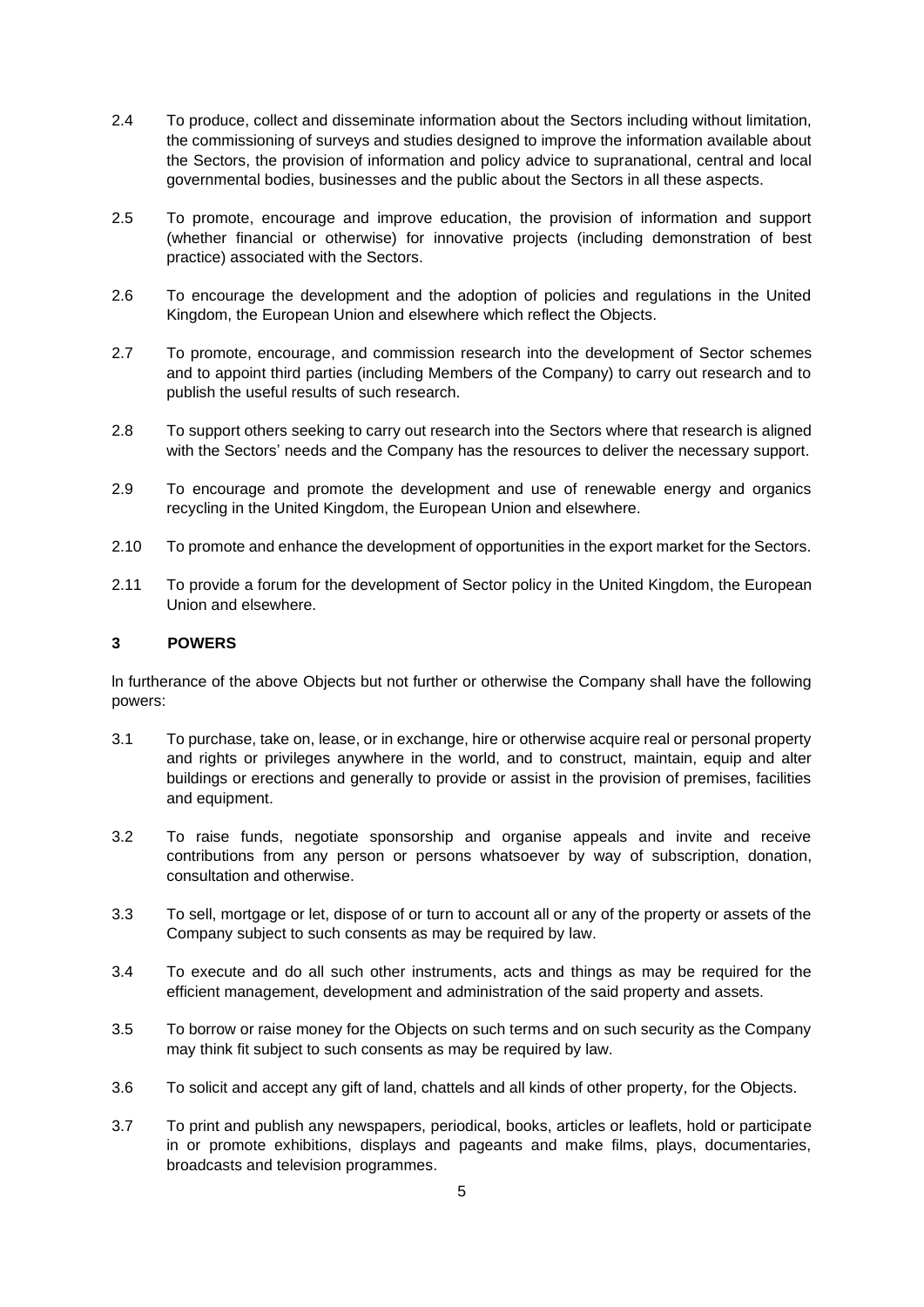- 2.4 To produce, collect and disseminate information about the Sectors including without limitation, the commissioning of surveys and studies designed to improve the information available about the Sectors, the provision of information and policy advice to supranational, central and local governmental bodies, businesses and the public about the Sectors in all these aspects.
- 2.5 To promote, encourage and improve education, the provision of information and support (whether financial or otherwise) for innovative projects (including demonstration of best practice) associated with the Sectors.
- 2.6 To encourage the development and the adoption of policies and regulations in the United Kingdom, the European Union and elsewhere which reflect the Objects.
- 2.7 To promote, encourage, and commission research into the development of Sector schemes and to appoint third parties (including Members of the Company) to carry out research and to publish the useful results of such research.
- 2.8 To support others seeking to carry out research into the Sectors where that research is aligned with the Sectors' needs and the Company has the resources to deliver the necessary support.
- 2.9 To encourage and promote the development and use of renewable energy and organics recycling in the United Kingdom, the European Union and elsewhere.
- 2.10 To promote and enhance the development of opportunities in the export market for the Sectors.
- 2.11 To provide a forum for the development of Sector policy in the United Kingdom, the European Union and elsewhere.

### <span id="page-4-0"></span>**3 POWERS**

ln furtherance of the above Objects but not further or otherwise the Company shall have the following powers:

- 3.1 To purchase, take on, lease, or in exchange, hire or otherwise acquire real or personal property and rights or privileges anywhere in the world, and to construct, maintain, equip and alter buildings or erections and generally to provide or assist in the provision of premises, facilities and equipment.
- 3.2 To raise funds, negotiate sponsorship and organise appeals and invite and receive contributions from any person or persons whatsoever by way of subscription, donation, consultation and otherwise.
- 3.3 To sell, mortgage or let, dispose of or turn to account all or any of the property or assets of the Company subject to such consents as may be required by law.
- 3.4 To execute and do all such other instruments, acts and things as may be required for the efficient management, development and administration of the said property and assets.
- 3.5 To borrow or raise money for the Objects on such terms and on such security as the Company may think fit subject to such consents as may be required by law.
- 3.6 To solicit and accept any gift of land, chattels and all kinds of other property, for the Objects.
- 3.7 To print and publish any newspapers, periodical, books, articles or leaflets, hold or participate in or promote exhibitions, displays and pageants and make films, plays, documentaries, broadcasts and television programmes.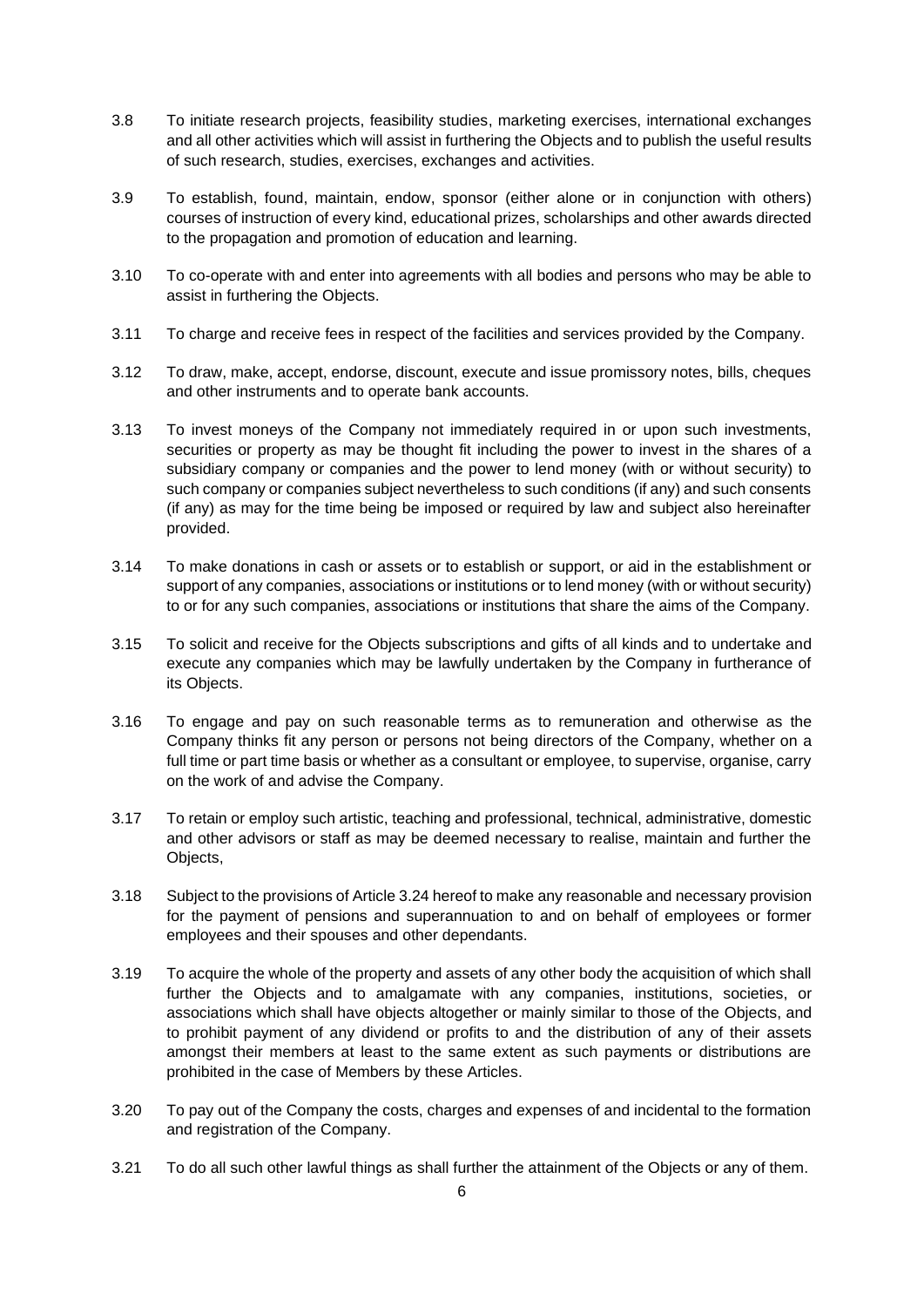- 3.8 To initiate research projects, feasibility studies, marketing exercises, international exchanges and all other activities which will assist in furthering the Objects and to publish the useful results of such research, studies, exercises, exchanges and activities.
- 3.9 To establish, found, maintain, endow, sponsor (either alone or in conjunction with others) courses of instruction of every kind, educational prizes, scholarships and other awards directed to the propagation and promotion of education and learning.
- 3.10 To co-operate with and enter into agreements with all bodies and persons who may be able to assist in furthering the Objects.
- 3.11 To charge and receive fees in respect of the facilities and services provided by the Company.
- 3.12 To draw, make, accept, endorse, discount, execute and issue promissory notes, bills, cheques and other instruments and to operate bank accounts.
- 3.13 To invest moneys of the Company not immediately required in or upon such investments, securities or property as may be thought fit including the power to invest in the shares of a subsidiary company or companies and the power to lend money (with or without security) to such company or companies subject nevertheless to such conditions (if any) and such consents (if any) as may for the time being be imposed or required by law and subject also hereinafter provided.
- 3.14 To make donations in cash or assets or to establish or support, or aid in the establishment or support of any companies, associations or institutions or to lend money (with or without security) to or for any such companies, associations or institutions that share the aims of the Company.
- 3.15 To solicit and receive for the Objects subscriptions and gifts of all kinds and to undertake and execute any companies which may be lawfully undertaken by the Company in furtherance of its Objects.
- 3.16 To engage and pay on such reasonable terms as to remuneration and otherwise as the Company thinks fit any person or persons not being directors of the Company, whether on a full time or part time basis or whether as a consultant or employee, to supervise, organise, carry on the work of and advise the Company.
- 3.17 To retain or employ such artistic, teaching and professional, technical, administrative, domestic and other advisors or staff as may be deemed necessary to realise, maintain and further the Objects,
- 3.18 Subject to the provisions of Article 3.24 hereof to make any reasonable and necessary provision for the payment of pensions and superannuation to and on behalf of employees or former employees and their spouses and other dependants.
- 3.19 To acquire the whole of the property and assets of any other body the acquisition of which shall further the Objects and to amalgamate with any companies, institutions, societies, or associations which shall have objects altogether or mainly similar to those of the Objects, and to prohibit payment of any dividend or profits to and the distribution of any of their assets amongst their members at least to the same extent as such payments or distributions are prohibited in the case of Members by these Articles.
- 3.20 To pay out of the Company the costs, charges and expenses of and incidental to the formation and registration of the Company.
- 3.21 To do all such other lawful things as shall further the attainment of the Objects or any of them.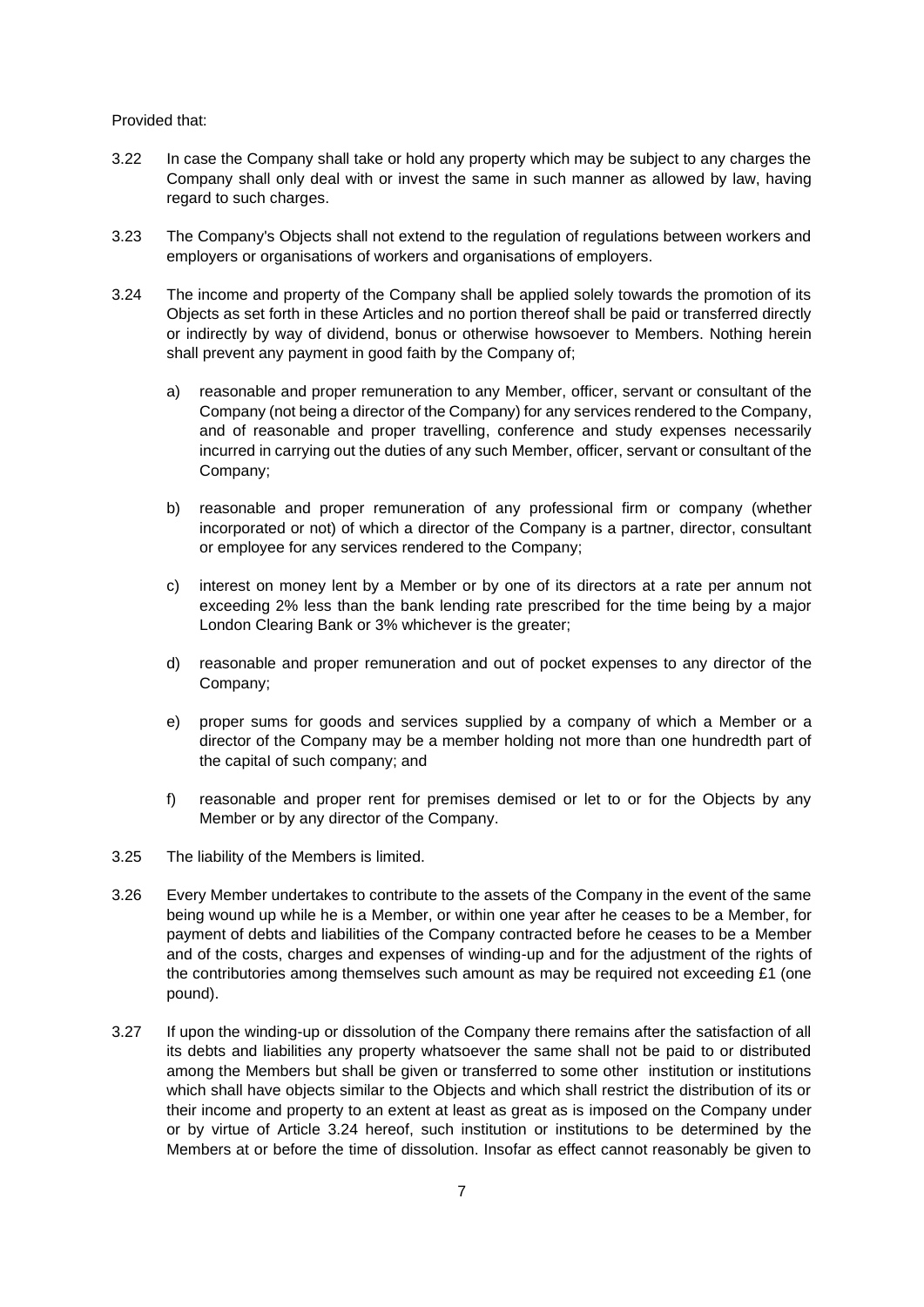Provided that:

- 3.22 In case the Company shall take or hold any property which may be subject to any charges the Company shall only deal with or invest the same in such manner as allowed by law, having regard to such charges.
- 3.23 The Company's Objects shall not extend to the regulation of regulations between workers and employers or organisations of workers and organisations of employers.
- 3.24 The income and property of the Company shall be applied solely towards the promotion of its Objects as set forth in these Articles and no portion thereof shall be paid or transferred directly or indirectly by way of dividend, bonus or otherwise howsoever to Members. Nothing herein shall prevent any payment in good faith by the Company of;
	- a) reasonable and proper remuneration to any Member, officer, servant or consultant of the Company (not being a director of the Company) for any services rendered to the Company, and of reasonable and proper travelling, conference and study expenses necessarily incurred in carrying out the duties of any such Member, officer, servant or consultant of the Company;
	- b) reasonable and proper remuneration of any professional firm or company (whether incorporated or not) of which a director of the Company is a partner, director, consultant or employee for any services rendered to the Company;
	- c) interest on money lent by a Member or by one of its directors at a rate per annum not exceeding 2% less than the bank lending rate prescribed for the time being by a major London Clearing Bank or 3% whichever is the greater;
	- d) reasonable and proper remuneration and out of pocket expenses to any director of the Company;
	- e) proper sums for goods and services supplied by a company of which a Member or a director of the Company may be a member holding not more than one hundredth part of the capitaI of such company; and
	- f) reasonable and proper rent for premises demised or let to or for the Objects by any Member or by any director of the Company.
- 3.25 The liability of the Members is limited.
- 3.26 Every Member undertakes to contribute to the assets of the Company in the event of the same being wound up while he is a Member, or within one year after he ceases to be a Member, for payment of debts and liabilities of the Company contracted before he ceases to be a Member and of the costs, charges and expenses of winding-up and for the adjustment of the rights of the contributories among themselves such amount as may be required not exceeding £1 (one pound).
- 3.27 If upon the winding-up or dissolution of the Company there remains after the satisfaction of all its debts and liabilities any property whatsoever the same shall not be paid to or distributed among the Members but shall be given or transferred to some other institution or institutions which shall have objects similar to the Objects and which shall restrict the distribution of its or their income and property to an extent at least as great as is imposed on the Company under or by virtue of Article 3.24 hereof, such institution or institutions to be determined by the Members at or before the time of dissolution. Insofar as effect cannot reasonably be given to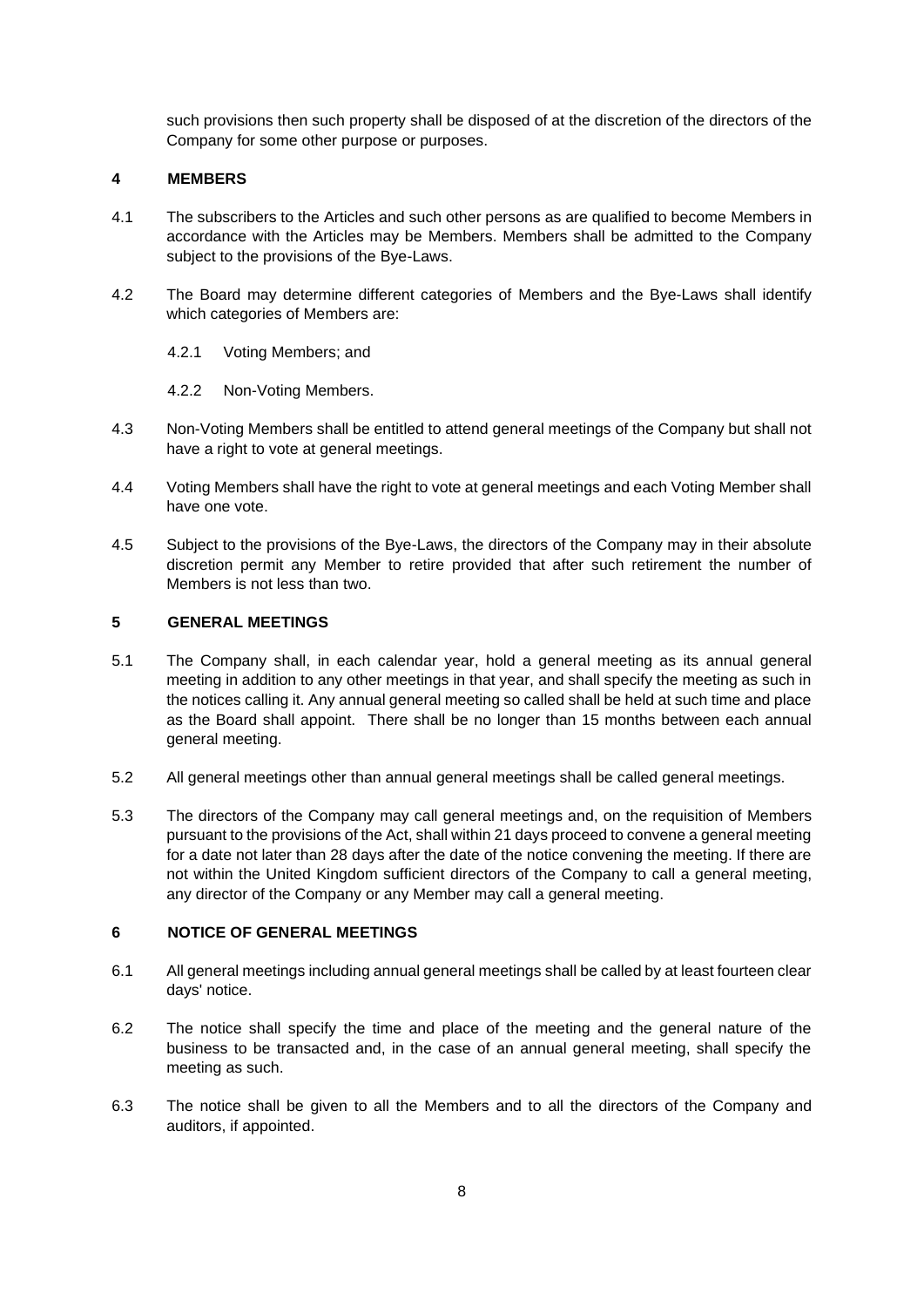such provisions then such property shall be disposed of at the discretion of the directors of the Company for some other purpose or purposes.

### <span id="page-7-0"></span>**4 MEMBERS**

- 4.1 The subscribers to the Articles and such other persons as are qualified to become Members in accordance with the Articles may be Members. Members shall be admitted to the Company subject to the provisions of the Bye-Laws.
- 4.2 The Board may determine different categories of Members and the Bye-Laws shall identify which categories of Members are:
	- 4.2.1 Voting Members; and
	- 4.2.2 Non-Voting Members.
- 4.3 Non-Voting Members shall be entitled to attend general meetings of the Company but shall not have a right to vote at general meetings.
- 4.4 Voting Members shall have the right to vote at general meetings and each Voting Member shall have one vote.
- 4.5 Subject to the provisions of the Bye-Laws, the directors of the Company may in their absolute discretion permit any Member to retire provided that after such retirement the number of Members is not less than two.

## <span id="page-7-1"></span>**5 GENERAL MEETINGS**

- 5.1 The Company shall, in each calendar year, hold a general meeting as its annual general meeting in addition to any other meetings in that year, and shall specify the meeting as such in the notices calling it. Any annual general meeting so called shall be held at such time and place as the Board shall appoint. There shall be no longer than 15 months between each annual general meeting.
- 5.2 All general meetings other than annual general meetings shall be called general meetings.
- 5.3 The directors of the Company may call general meetings and, on the requisition of Members pursuant to the provisions of the Act, shall within 21 days proceed to convene a general meeting for a date not later than 28 days after the date of the notice convening the meeting. If there are not within the United Kingdom sufficient directors of the Company to call a general meeting, any director of the Company or any Member may call a general meeting.

#### <span id="page-7-2"></span>**6 NOTICE OF GENERAL MEETINGS**

- 6.1 All general meetings including annual general meetings shall be called by at least fourteen clear days' notice.
- 6.2 The notice shall specify the time and place of the meeting and the general nature of the business to be transacted and, in the case of an annual general meeting, shall specify the meeting as such.
- 6.3 The notice shall be given to all the Members and to all the directors of the Company and auditors, if appointed.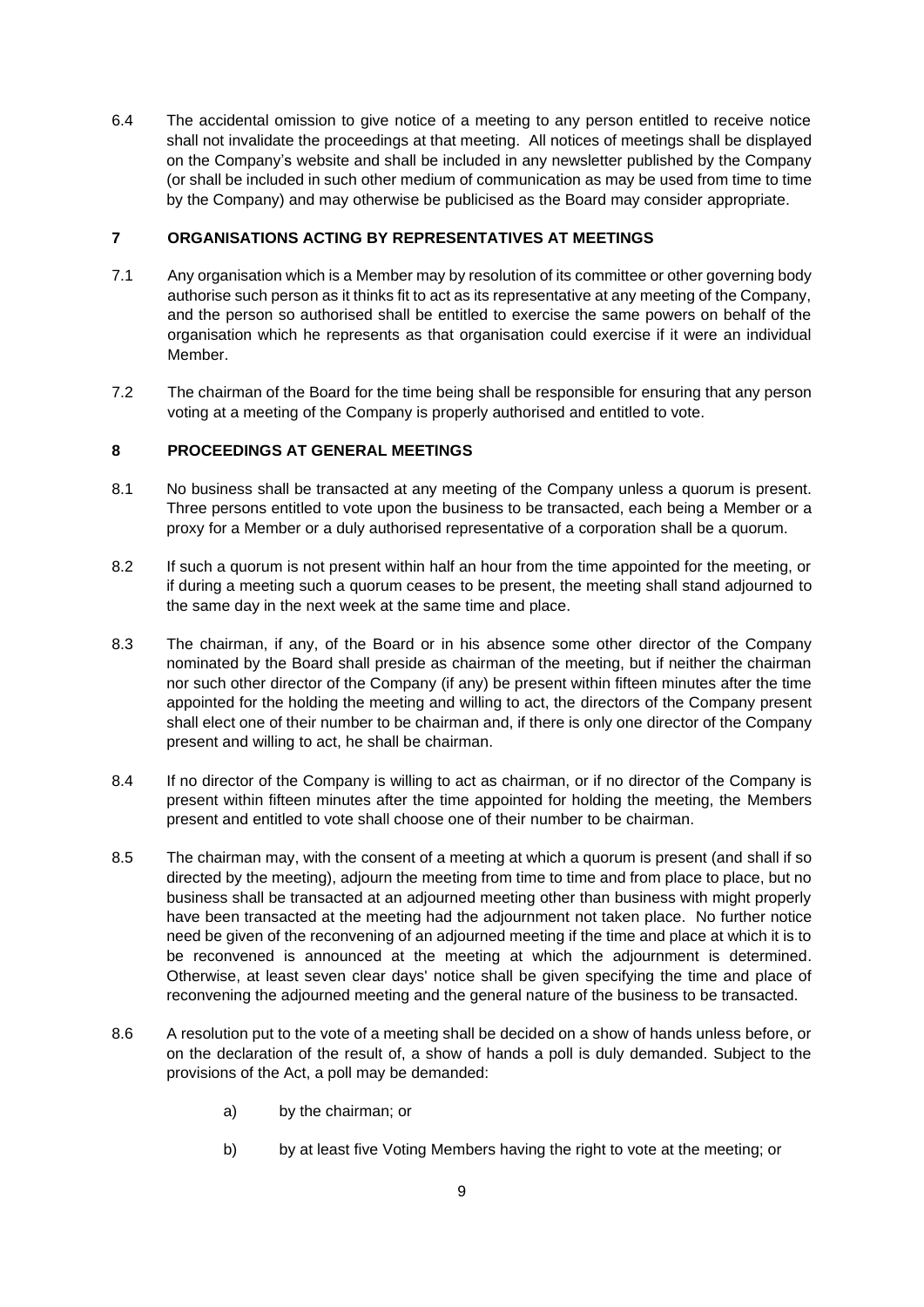6.4 The accidental omission to give notice of a meeting to any person entitled to receive notice shall not invalidate the proceedings at that meeting. All notices of meetings shall be displayed on the Company's website and shall be included in any newsletter published by the Company (or shall be included in such other medium of communication as may be used from time to time by the Company) and may otherwise be publicised as the Board may consider appropriate.

### <span id="page-8-0"></span>**7 ORGANISATIONS ACTING BY REPRESENTATIVES AT MEETINGS**

- 7.1 Any organisation which is a Member may by resolution of its committee or other governing body authorise such person as it thinks fit to act as its representative at any meeting of the Company, and the person so authorised shall be entitled to exercise the same powers on behalf of the organisation which he represents as that organisation could exercise if it were an individual Member.
- 7.2 The chairman of the Board for the time being shall be responsible for ensuring that any person voting at a meeting of the Company is properly authorised and entitled to vote.

### <span id="page-8-1"></span>**8 PROCEEDINGS AT GENERAL MEETINGS**

- 8.1 No business shall be transacted at any meeting of the Company unless a quorum is present. Three persons entitled to vote upon the business to be transacted, each being a Member or a proxy for a Member or a duly authorised representative of a corporation shall be a quorum.
- 8.2 If such a quorum is not present within half an hour from the time appointed for the meeting, or if during a meeting such a quorum ceases to be present, the meeting shall stand adjourned to the same day in the next week at the same time and place.
- 8.3 The chairman, if any, of the Board or in his absence some other director of the Company nominated by the Board shall preside as chairman of the meeting, but if neither the chairman nor such other director of the Company (if any) be present within fifteen minutes after the time appointed for the holding the meeting and willing to act, the directors of the Company present shall elect one of their number to be chairman and, if there is only one director of the Company present and willing to act, he shall be chairman.
- 8.4 If no director of the Company is willing to act as chairman, or if no director of the Company is present within fifteen minutes after the time appointed for holding the meeting, the Members present and entitled to vote shall choose one of their number to be chairman.
- 8.5 The chairman may, with the consent of a meeting at which a quorum is present (and shall if so directed by the meeting), adjourn the meeting from time to time and from place to place, but no business shall be transacted at an adjourned meeting other than business with might properly have been transacted at the meeting had the adjournment not taken place. No further notice need be given of the reconvening of an adjourned meeting if the time and place at which it is to be reconvened is announced at the meeting at which the adjournment is determined. Otherwise, at least seven clear days' notice shall be given specifying the time and place of reconvening the adjourned meeting and the general nature of the business to be transacted.
- 8.6 A resolution put to the vote of a meeting shall be decided on a show of hands unless before, or on the declaration of the result of, a show of hands a poll is duly demanded. Subject to the provisions of the Act, a poll may be demanded:
	- a) by the chairman; or
	- b) by at least five Voting Members having the right to vote at the meeting; or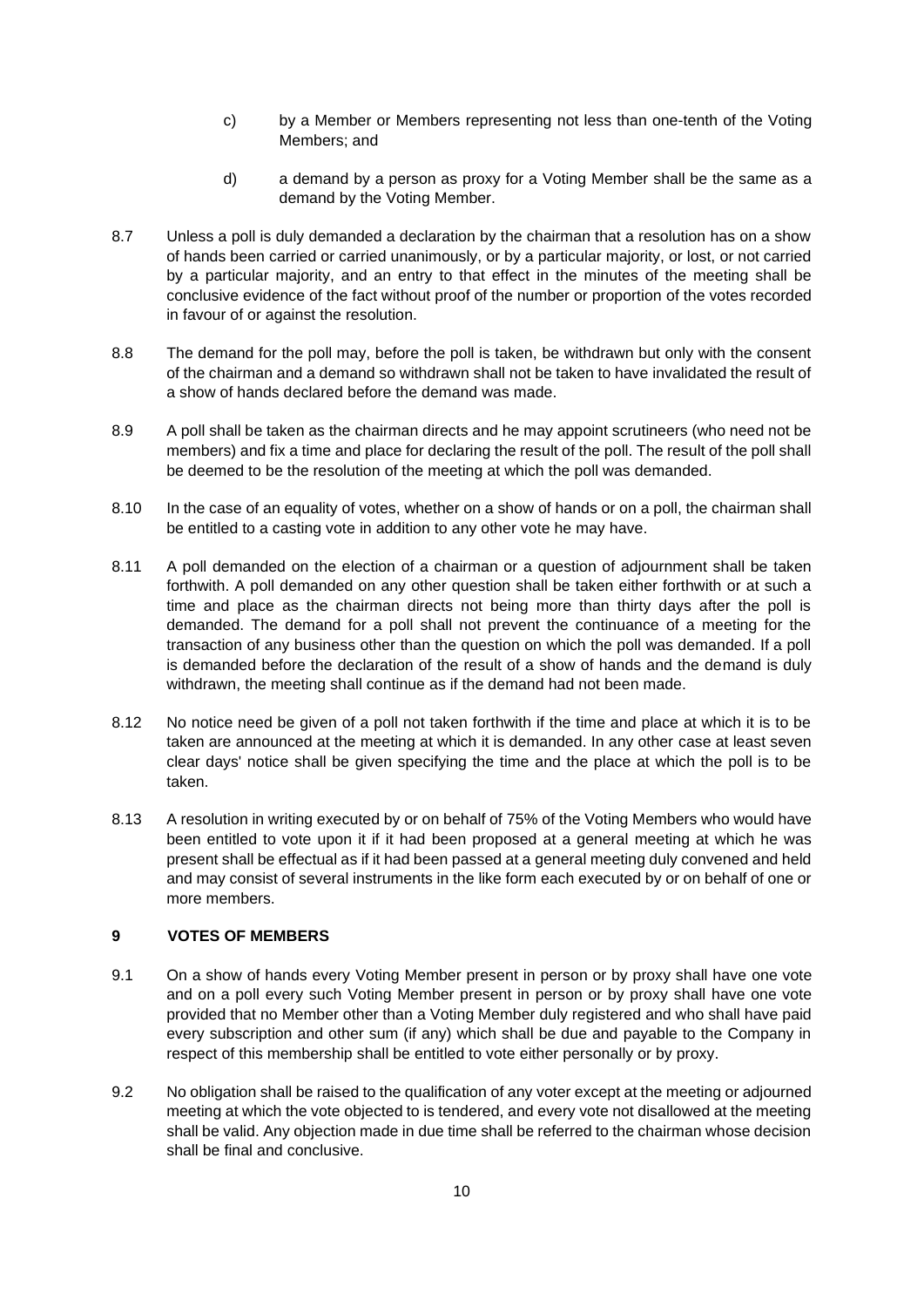- c) by a Member or Members representing not less than one-tenth of the Voting Members; and
- d) a demand by a person as proxy for a Voting Member shall be the same as a demand by the Voting Member.
- 8.7 Unless a poll is duly demanded a declaration by the chairman that a resolution has on a show of hands been carried or carried unanimously, or by a particular majority, or lost, or not carried by a particular majority, and an entry to that effect in the minutes of the meeting shall be conclusive evidence of the fact without proof of the number or proportion of the votes recorded in favour of or against the resolution.
- 8.8 The demand for the poll may, before the poll is taken, be withdrawn but only with the consent of the chairman and a demand so withdrawn shall not be taken to have invalidated the result of a show of hands declared before the demand was made.
- 8.9 A poll shall be taken as the chairman directs and he may appoint scrutineers (who need not be members) and fix a time and place for declaring the result of the poll. The result of the poll shall be deemed to be the resolution of the meeting at which the poll was demanded.
- 8.10 In the case of an equality of votes, whether on a show of hands or on a poll, the chairman shall be entitled to a casting vote in addition to any other vote he may have.
- 8.11 A poll demanded on the election of a chairman or a question of adjournment shall be taken forthwith. A poll demanded on any other question shall be taken either forthwith or at such a time and place as the chairman directs not being more than thirty days after the poll is demanded. The demand for a poll shall not prevent the continuance of a meeting for the transaction of any business other than the question on which the poll was demanded. If a poll is demanded before the declaration of the result of a show of hands and the demand is duly withdrawn, the meeting shall continue as if the demand had not been made.
- 8.12 No notice need be given of a poll not taken forthwith if the time and place at which it is to be taken are announced at the meeting at which it is demanded. In any other case at least seven clear days' notice shall be given specifying the time and the place at which the poll is to be taken.
- 8.13 A resolution in writing executed by or on behalf of 75% of the Voting Members who would have been entitled to vote upon it if it had been proposed at a general meeting at which he was present shall be effectual as if it had been passed at a general meeting duly convened and held and may consist of several instruments in the like form each executed by or on behalf of one or more members.

## <span id="page-9-0"></span>**9 VOTES OF MEMBERS**

- 9.1 On a show of hands every Voting Member present in person or by proxy shall have one vote and on a poll every such Voting Member present in person or by proxy shall have one vote provided that no Member other than a Voting Member duly registered and who shall have paid every subscription and other sum (if any) which shall be due and payable to the Company in respect of this membership shall be entitled to vote either personally or by proxy.
- 9.2 No obligation shall be raised to the qualification of any voter except at the meeting or adjourned meeting at which the vote objected to is tendered, and every vote not disallowed at the meeting shall be valid. Any objection made in due time shall be referred to the chairman whose decision shall be final and conclusive.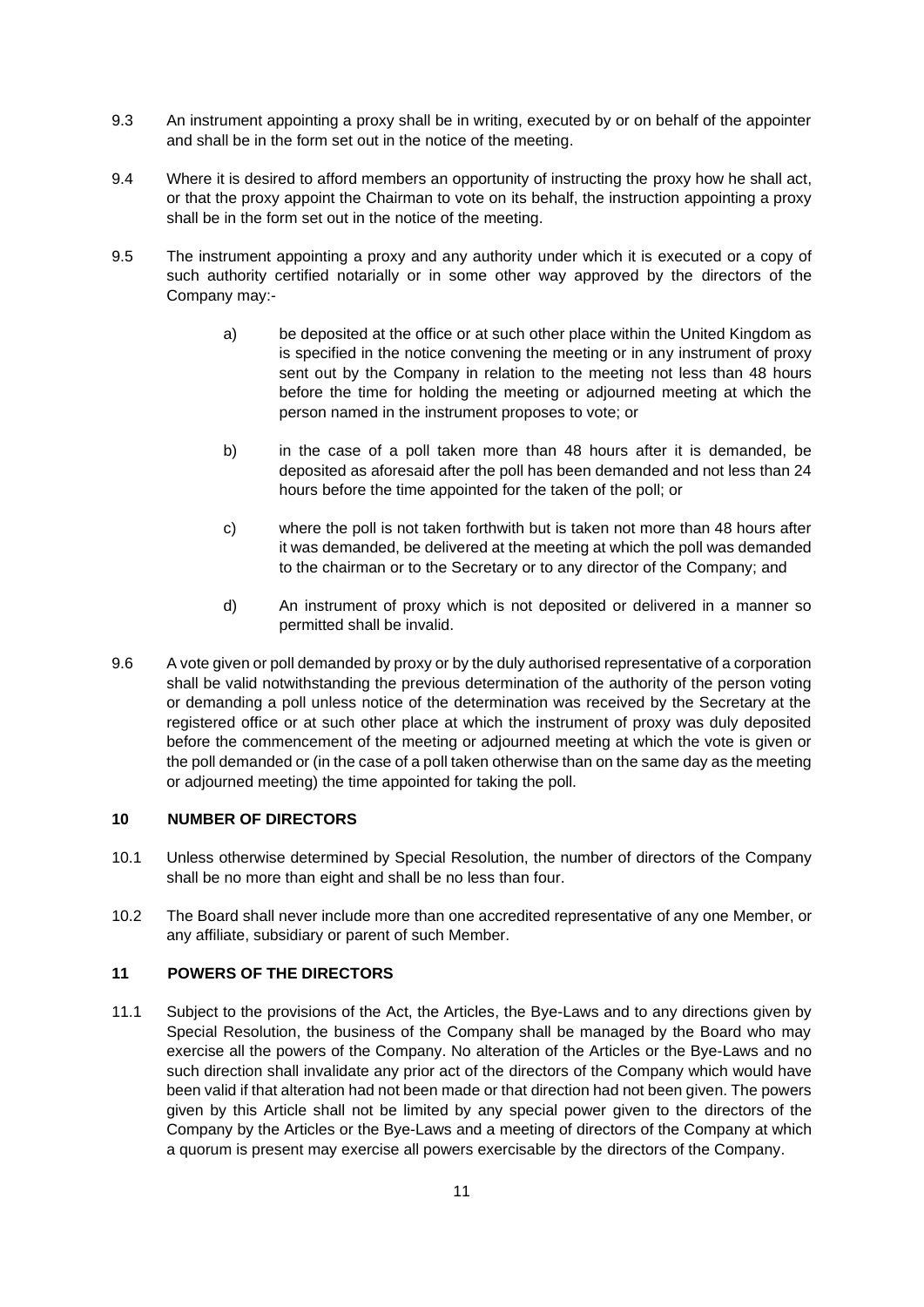- 9.3 An instrument appointing a proxy shall be in writing, executed by or on behalf of the appointer and shall be in the form set out in the notice of the meeting.
- 9.4 Where it is desired to afford members an opportunity of instructing the proxy how he shall act, or that the proxy appoint the Chairman to vote on its behalf, the instruction appointing a proxy shall be in the form set out in the notice of the meeting.
- 9.5 The instrument appointing a proxy and any authority under which it is executed or a copy of such authority certified notarially or in some other way approved by the directors of the Company may:
	- a) be deposited at the office or at such other place within the United Kingdom as is specified in the notice convening the meeting or in any instrument of proxy sent out by the Company in relation to the meeting not less than 48 hours before the time for holding the meeting or adjourned meeting at which the person named in the instrument proposes to vote; or
	- b) in the case of a poll taken more than 48 hours after it is demanded, be deposited as aforesaid after the poll has been demanded and not less than 24 hours before the time appointed for the taken of the poll; or
	- c) where the poll is not taken forthwith but is taken not more than 48 hours after it was demanded, be delivered at the meeting at which the poll was demanded to the chairman or to the Secretary or to any director of the Company; and
	- d) An instrument of proxy which is not deposited or delivered in a manner so permitted shall be invalid.
- 9.6 A vote given or poll demanded by proxy or by the duly authorised representative of a corporation shall be valid notwithstanding the previous determination of the authority of the person voting or demanding a poll unless notice of the determination was received by the Secretary at the registered office or at such other place at which the instrument of proxy was duly deposited before the commencement of the meeting or adjourned meeting at which the vote is given or the poll demanded or (in the case of a poll taken otherwise than on the same day as the meeting or adjourned meeting) the time appointed for taking the poll.

## <span id="page-10-0"></span>**10 NUMBER OF DIRECTORS**

- 10.1 Unless otherwise determined by Special Resolution, the number of directors of the Company shall be no more than eight and shall be no less than four.
- 10.2 The Board shall never include more than one accredited representative of any one Member, or any affiliate, subsidiary or parent of such Member.

## <span id="page-10-1"></span>**11 POWERS OF THE DIRECTORS**

11.1 Subject to the provisions of the Act, the Articles, the Bye-Laws and to any directions given by Special Resolution, the business of the Company shall be managed by the Board who may exercise all the powers of the Company. No alteration of the Articles or the Bye-Laws and no such direction shall invalidate any prior act of the directors of the Company which would have been valid if that alteration had not been made or that direction had not been given. The powers given by this Article shall not be limited by any special power given to the directors of the Company by the Articles or the Bye-Laws and a meeting of directors of the Company at which a quorum is present may exercise all powers exercisable by the directors of the Company.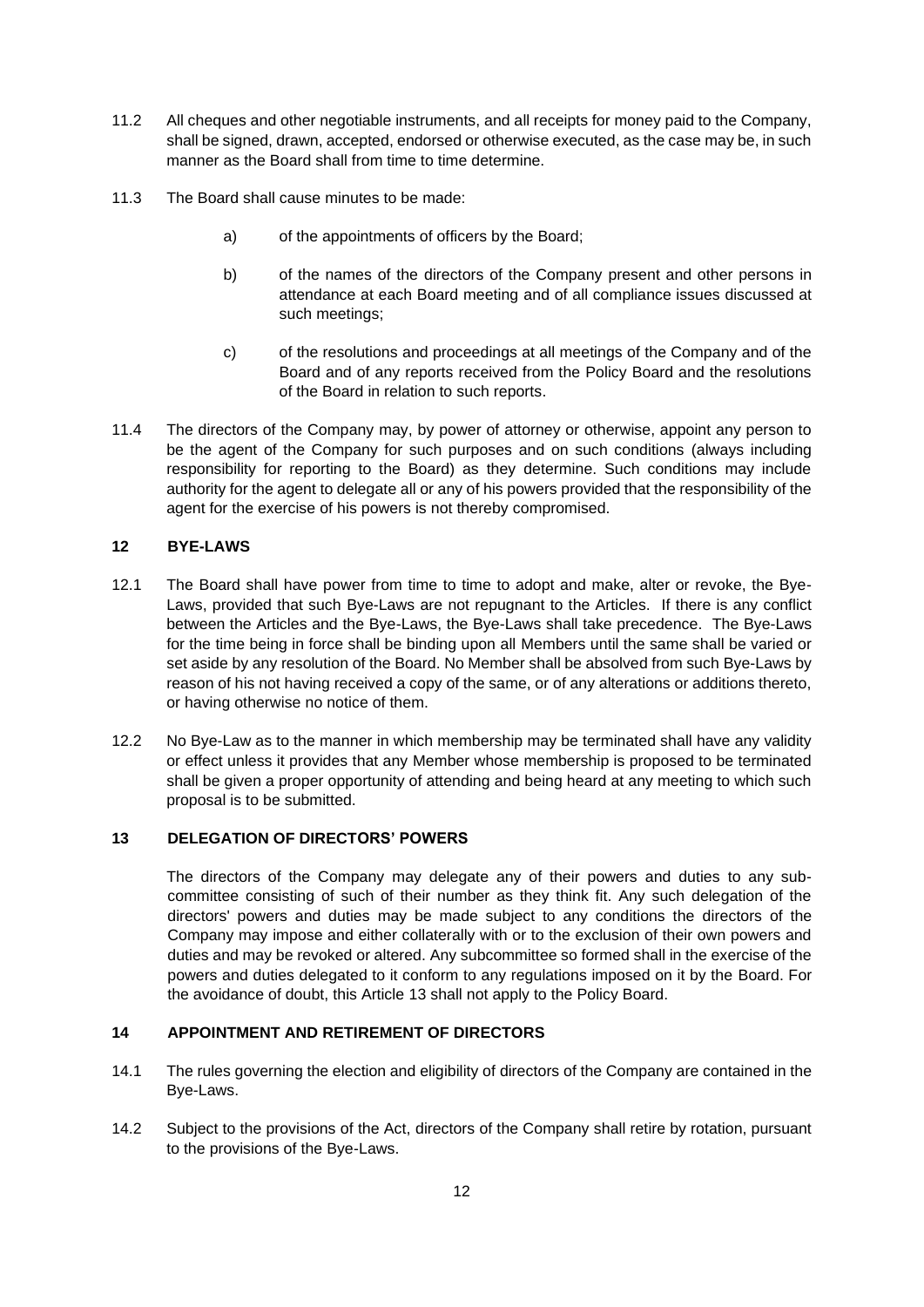- 11.2 All cheques and other negotiable instruments, and all receipts for money paid to the Company, shall be signed, drawn, accepted, endorsed or otherwise executed, as the case may be, in such manner as the Board shall from time to time determine.
- 11.3 The Board shall cause minutes to be made:
	- a) of the appointments of officers by the Board;
	- b) of the names of the directors of the Company present and other persons in attendance at each Board meeting and of all compliance issues discussed at such meetings;
	- c) of the resolutions and proceedings at all meetings of the Company and of the Board and of any reports received from the Policy Board and the resolutions of the Board in relation to such reports.
- 11.4 The directors of the Company may, by power of attorney or otherwise, appoint any person to be the agent of the Company for such purposes and on such conditions (always including responsibility for reporting to the Board) as they determine. Such conditions may include authority for the agent to delegate all or any of his powers provided that the responsibility of the agent for the exercise of his powers is not thereby compromised.

## <span id="page-11-0"></span>**12 BYE-LAWS**

- 12.1 The Board shall have power from time to time to adopt and make, alter or revoke, the Bye-Laws, provided that such Bye-Laws are not repugnant to the Articles. If there is any conflict between the Articles and the Bye-Laws, the Bye-Laws shall take precedence. The Bye-Laws for the time being in force shall be binding upon all Members until the same shall be varied or set aside by any resolution of the Board. No Member shall be absolved from such Bye-Laws by reason of his not having received a copy of the same, or of any alterations or additions thereto, or having otherwise no notice of them.
- 12.2 No Bye-Law as to the manner in which membership may be terminated shall have any validity or effect unless it provides that any Member whose membership is proposed to be terminated shall be given a proper opportunity of attending and being heard at any meeting to which such proposal is to be submitted.

#### <span id="page-11-1"></span>**13 DELEGATION OF DIRECTORS' POWERS**

The directors of the Company may delegate any of their powers and duties to any subcommittee consisting of such of their number as they think fit. Any such delegation of the directors' powers and duties may be made subject to any conditions the directors of the Company may impose and either collaterally with or to the exclusion of their own powers and duties and may be revoked or altered. Any subcommittee so formed shall in the exercise of the powers and duties delegated to it conform to any regulations imposed on it by the Board. For the avoidance of doubt, this Article 13 shall not apply to the Policy Board.

#### <span id="page-11-2"></span>**14 APPOINTMENT AND RETIREMENT OF DIRECTORS**

- 14.1 The rules governing the election and eligibility of directors of the Company are contained in the Bye-Laws.
- 14.2 Subject to the provisions of the Act, directors of the Company shall retire by rotation, pursuant to the provisions of the Bye-Laws.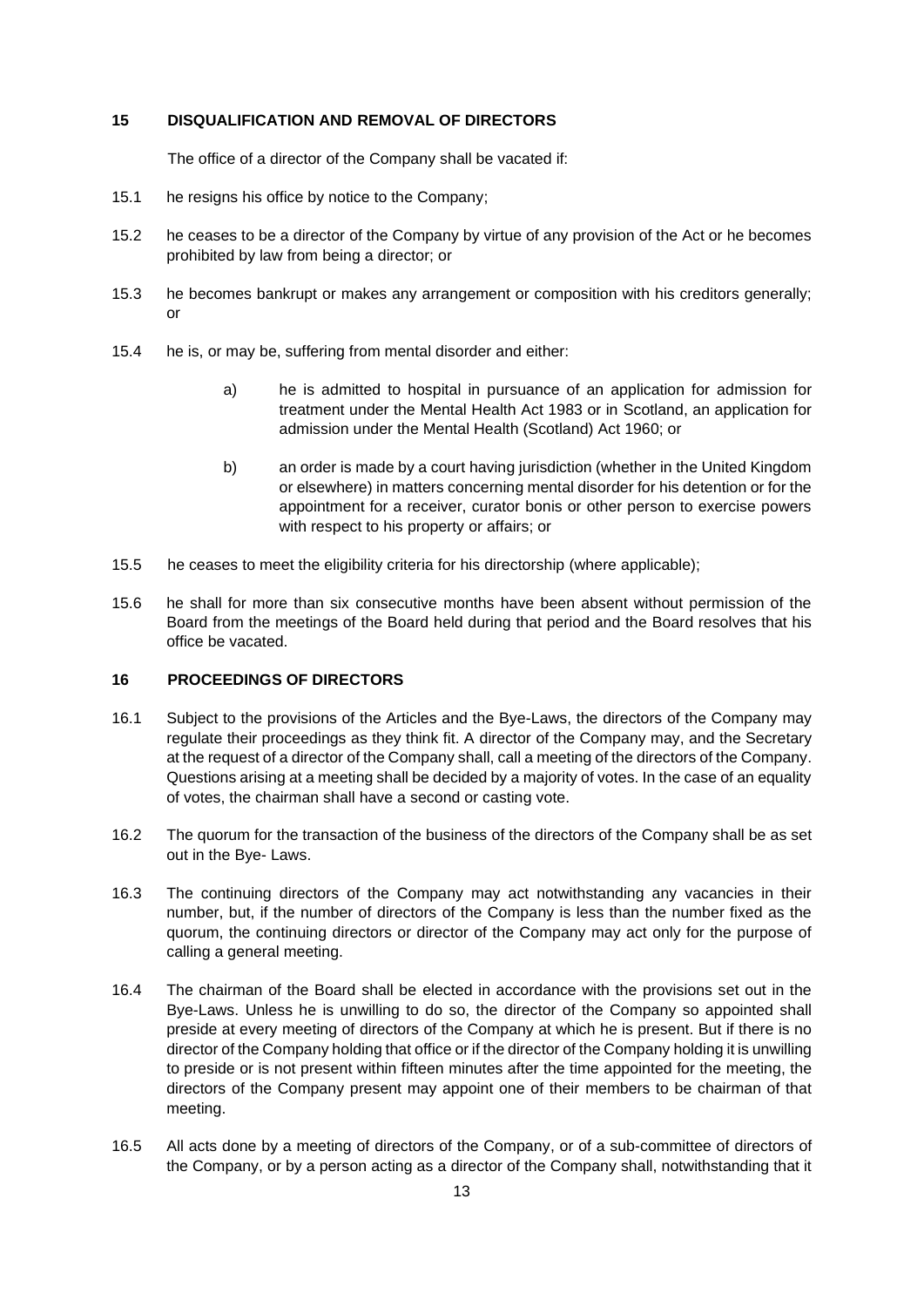### <span id="page-12-0"></span>**15 DISQUALIFICATION AND REMOVAL OF DIRECTORS**

The office of a director of the Company shall be vacated if:

- 15.1 he resigns his office by notice to the Company;
- 15.2 he ceases to be a director of the Company by virtue of any provision of the Act or he becomes prohibited by law from being a director; or
- 15.3 he becomes bankrupt or makes any arrangement or composition with his creditors generally; or
- 15.4 he is, or may be, suffering from mental disorder and either:
	- a) he is admitted to hospital in pursuance of an application for admission for treatment under the Mental Health Act 1983 or in Scotland, an application for admission under the Mental Health (Scotland) Act 1960; or
	- b) an order is made by a court having jurisdiction (whether in the United Kingdom or elsewhere) in matters concerning mental disorder for his detention or for the appointment for a receiver, curator bonis or other person to exercise powers with respect to his property or affairs; or
- 15.5 he ceases to meet the eligibility criteria for his directorship (where applicable);
- 15.6 he shall for more than six consecutive months have been absent without permission of the Board from the meetings of the Board held during that period and the Board resolves that his office be vacated.

## <span id="page-12-1"></span>**16 PROCEEDINGS OF DIRECTORS**

- 16.1 Subject to the provisions of the Articles and the Bye-Laws, the directors of the Company may regulate their proceedings as they think fit. A director of the Company may, and the Secretary at the request of a director of the Company shall, call a meeting of the directors of the Company. Questions arising at a meeting shall be decided by a majority of votes. In the case of an equality of votes, the chairman shall have a second or casting vote.
- 16.2 The quorum for the transaction of the business of the directors of the Company shall be as set out in the Bye- Laws.
- 16.3 The continuing directors of the Company may act notwithstanding any vacancies in their number, but, if the number of directors of the Company is less than the number fixed as the quorum, the continuing directors or director of the Company may act only for the purpose of calling a general meeting.
- 16.4 The chairman of the Board shall be elected in accordance with the provisions set out in the Bye-Laws. Unless he is unwilling to do so, the director of the Company so appointed shall preside at every meeting of directors of the Company at which he is present. But if there is no director of the Company holding that office or if the director of the Company holding it is unwilling to preside or is not present within fifteen minutes after the time appointed for the meeting, the directors of the Company present may appoint one of their members to be chairman of that meeting.
- 16.5 All acts done by a meeting of directors of the Company, or of a sub-committee of directors of the Company, or by a person acting as a director of the Company shall, notwithstanding that it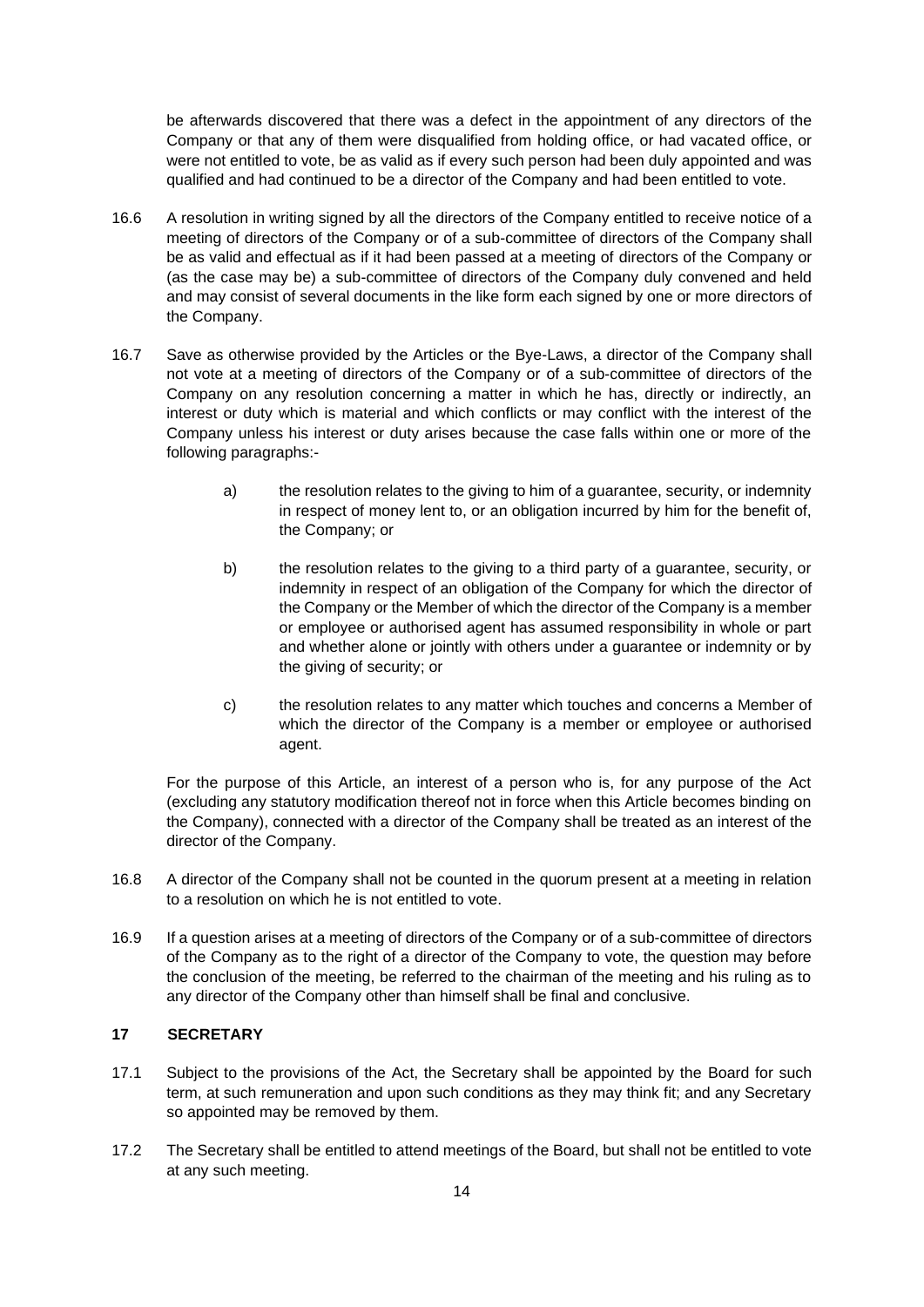be afterwards discovered that there was a defect in the appointment of any directors of the Company or that any of them were disqualified from holding office, or had vacated office, or were not entitled to vote, be as valid as if every such person had been duly appointed and was qualified and had continued to be a director of the Company and had been entitled to vote.

- 16.6 A resolution in writing signed by all the directors of the Company entitled to receive notice of a meeting of directors of the Company or of a sub-committee of directors of the Company shall be as valid and effectual as if it had been passed at a meeting of directors of the Company or (as the case may be) a sub-committee of directors of the Company duly convened and held and may consist of several documents in the like form each signed by one or more directors of the Company.
- 16.7 Save as otherwise provided by the Articles or the Bye-Laws, a director of the Company shall not vote at a meeting of directors of the Company or of a sub-committee of directors of the Company on any resolution concerning a matter in which he has, directly or indirectly, an interest or duty which is material and which conflicts or may conflict with the interest of the Company unless his interest or duty arises because the case falls within one or more of the following paragraphs:
	- a) the resolution relates to the giving to him of a guarantee, security, or indemnity in respect of money lent to, or an obligation incurred by him for the benefit of, the Company; or
	- b) the resolution relates to the giving to a third party of a guarantee, security, or indemnity in respect of an obligation of the Company for which the director of the Company or the Member of which the director of the Company is a member or employee or authorised agent has assumed responsibility in whole or part and whether alone or jointly with others under a guarantee or indemnity or by the giving of security; or
	- c) the resolution relates to any matter which touches and concerns a Member of which the director of the Company is a member or employee or authorised agent.

For the purpose of this Article, an interest of a person who is, for any purpose of the Act (excluding any statutory modification thereof not in force when this Article becomes binding on the Company), connected with a director of the Company shall be treated as an interest of the director of the Company.

- 16.8 A director of the Company shall not be counted in the quorum present at a meeting in relation to a resolution on which he is not entitled to vote.
- 16.9 If a question arises at a meeting of directors of the Company or of a sub-committee of directors of the Company as to the right of a director of the Company to vote, the question may before the conclusion of the meeting, be referred to the chairman of the meeting and his ruling as to any director of the Company other than himself shall be final and conclusive.

## <span id="page-13-0"></span>**17 SECRETARY**

- 17.1 Subject to the provisions of the Act, the Secretary shall be appointed by the Board for such term, at such remuneration and upon such conditions as they may think fit; and any Secretary so appointed may be removed by them.
- 17.2 The Secretary shall be entitled to attend meetings of the Board, but shall not be entitled to vote at any such meeting.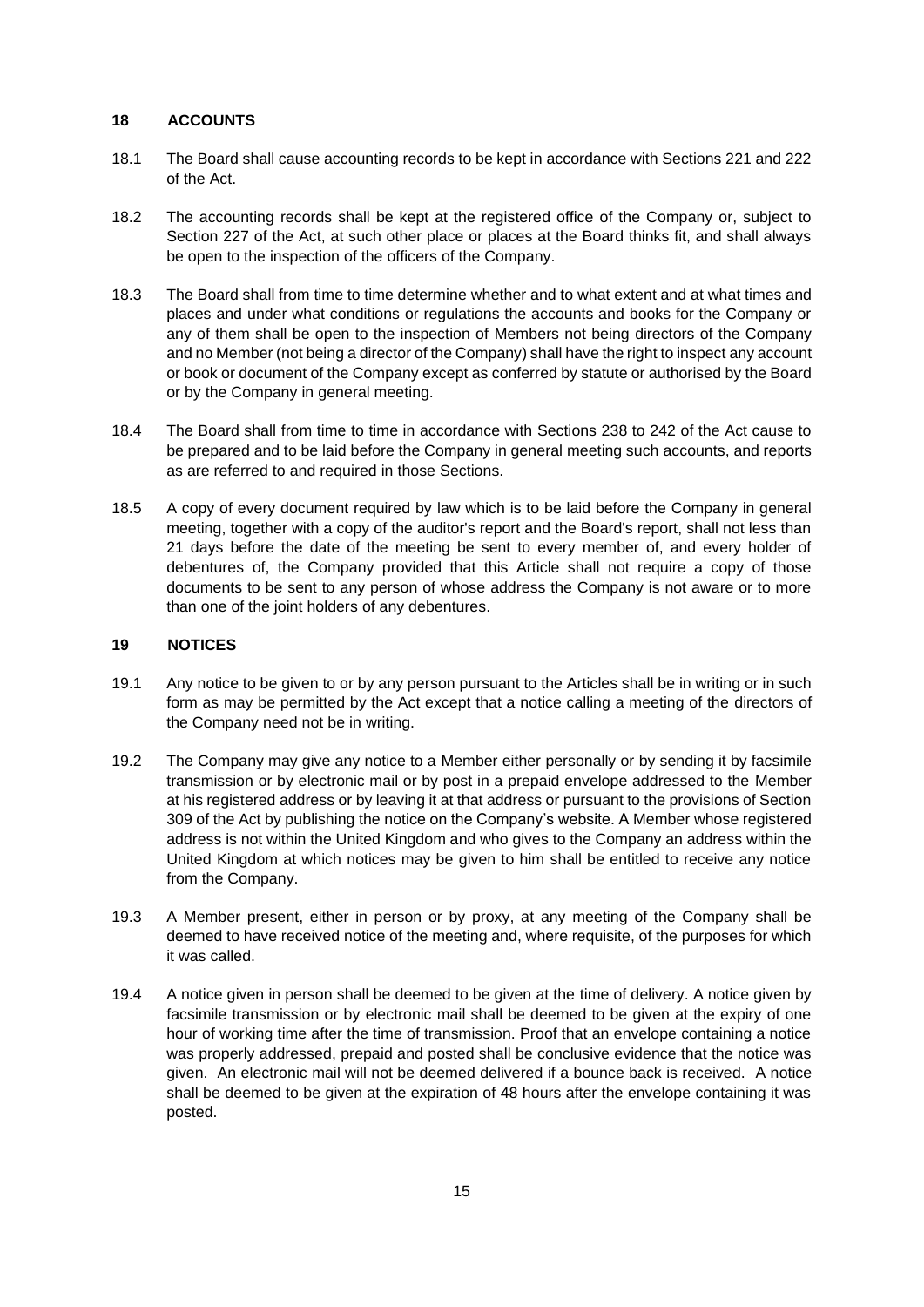## <span id="page-14-0"></span>**18 ACCOUNTS**

- 18.1 The Board shall cause accounting records to be kept in accordance with Sections 221 and 222 of the Act.
- 18.2 The accounting records shall be kept at the registered office of the Company or, subject to Section 227 of the Act, at such other place or places at the Board thinks fit, and shall always be open to the inspection of the officers of the Company.
- 18.3 The Board shall from time to time determine whether and to what extent and at what times and places and under what conditions or regulations the accounts and books for the Company or any of them shall be open to the inspection of Members not being directors of the Company and no Member (not being a director of the Company) shall have the right to inspect any account or book or document of the Company except as conferred by statute or authorised by the Board or by the Company in general meeting.
- 18.4 The Board shall from time to time in accordance with Sections 238 to 242 of the Act cause to be prepared and to be laid before the Company in general meeting such accounts, and reports as are referred to and required in those Sections.
- 18.5 A copy of every document required by law which is to be laid before the Company in general meeting, together with a copy of the auditor's report and the Board's report, shall not less than 21 days before the date of the meeting be sent to every member of, and every holder of debentures of, the Company provided that this Article shall not require a copy of those documents to be sent to any person of whose address the Company is not aware or to more than one of the joint holders of any debentures.

#### <span id="page-14-1"></span>**19 NOTICES**

- 19.1 Any notice to be given to or by any person pursuant to the Articles shall be in writing or in such form as may be permitted by the Act except that a notice calling a meeting of the directors of the Company need not be in writing.
- 19.2 The Company may give any notice to a Member either personally or by sending it by facsimile transmission or by electronic mail or by post in a prepaid envelope addressed to the Member at his registered address or by leaving it at that address or pursuant to the provisions of Section 309 of the Act by publishing the notice on the Company's website. A Member whose registered address is not within the United Kingdom and who gives to the Company an address within the United Kingdom at which notices may be given to him shall be entitled to receive any notice from the Company.
- 19.3 A Member present, either in person or by proxy, at any meeting of the Company shall be deemed to have received notice of the meeting and, where requisite, of the purposes for which it was called.
- 19.4 A notice given in person shall be deemed to be given at the time of delivery. A notice given by facsimile transmission or by electronic mail shall be deemed to be given at the expiry of one hour of working time after the time of transmission. Proof that an envelope containing a notice was properly addressed, prepaid and posted shall be conclusive evidence that the notice was given. An electronic mail will not be deemed delivered if a bounce back is received. A notice shall be deemed to be given at the expiration of 48 hours after the envelope containing it was posted.